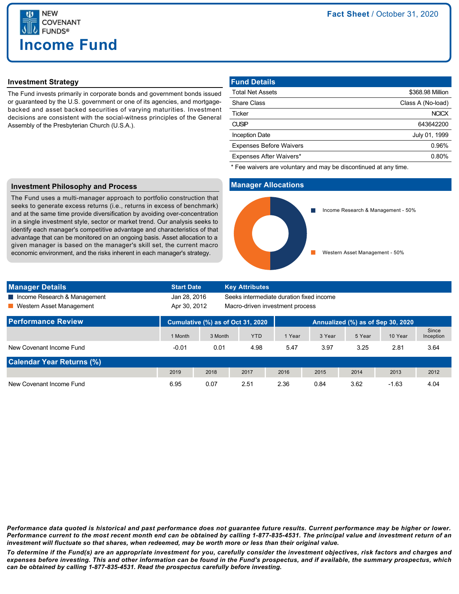

## **Investment Strategy**

The Fund invests primarily in corporate bonds and government bonds issued or guaranteed by the U.S. government or one of its agencies, and mortgagebacked and asset backed securities of varying maturities. Investment decisions are consistent with the social-witness principles of the General Assembly of the Presbyterian Church (U.S.A.).

| <b>Fund Details</b>            |                   |
|--------------------------------|-------------------|
| <b>Total Net Assets</b>        | \$368.98 Million  |
| <b>Share Class</b>             | Class A (No-load) |
| <b>Ticker</b>                  | <b>NCICX</b>      |
| <b>CUSIP</b>                   | 643642200         |
| <b>Inception Date</b>          | July 01, 1999     |
| <b>Expenses Before Waivers</b> | 0.96%             |
| Expenses After Waivers*        | 0.80%             |

\* Fee waivers are voluntary and may be discontinued at any time.

### **Investment Philosophy and Process**

The Fund uses a multi-manager approach to portfolio construction that seeks to generate excess returns (i.e., returns in excess of benchmark) and at the same time provide diversification by avoiding over-concentration in a single investment style, sector or market trend. Our analysis seeks to identify each manager's competitive advantage and characteristics of that advantage that can be monitored on an ongoing basis. Asset allocation to a given manager is based on the manager's skill set, the current macro economic environment, and the risks inherent in each manager's strategy.



| <b>Manager Details</b>           | <b>Start Date</b>                                        |         | <b>Key Attributes</b>             |        |        |        |         |                    |
|----------------------------------|----------------------------------------------------------|---------|-----------------------------------|--------|--------|--------|---------|--------------------|
| Income Research & Management     | Jan 28, 2016<br>Seeks intermediate duration fixed income |         |                                   |        |        |        |         |                    |
| Western Asset Management         | Apr 30, 2012                                             |         | Macro-driven investment process   |        |        |        |         |                    |
| <b>Performance Review</b>        | Cumulative (%) as of Oct 31, 2020                        |         | Annualized (%) as of Sep 30, 2020 |        |        |        |         |                    |
|                                  | 1 Month                                                  | 3 Month | <b>YTD</b>                        | 1 Year | 3 Year | 5 Year | 10 Year | Since<br>Inception |
| New Covenant Income Fund         | $-0.01$                                                  | 0.01    | 4.98                              | 5.47   | 3.97   | 3.25   | 2.81    | 3.64               |
| <b>Calendar Year Returns (%)</b> |                                                          |         |                                   |        |        |        |         |                    |
|                                  | 2019                                                     | 2018    | 2017                              | 2016   | 2015   | 2014   | 2013    | 2012               |
| New Covenant Income Fund         | 6.95                                                     | 0.07    | 2.51                              | 2.36   | 0.84   | 3.62   | $-1.63$ | 4.04               |

*Performance data quoted is historical and past performance does not guarantee future results. Current performance may be higher or lower. Performance current to the most recent month end can be obtained by calling 1-877-835-4531. The principal value and investment return of an investment will fluctuate so that shares, when redeemed, may be worth more or less than their original value.*

*To determine if the Fund(s) are an appropriate investment for you, carefully consider the investment objectives, risk factors and charges and expenses before investing. This and other information can be found in the Fund's prospectus, and if available, the summary prospectus, which can be obtained by calling 1-877-835-4531. Read the prospectus carefully before investing.*